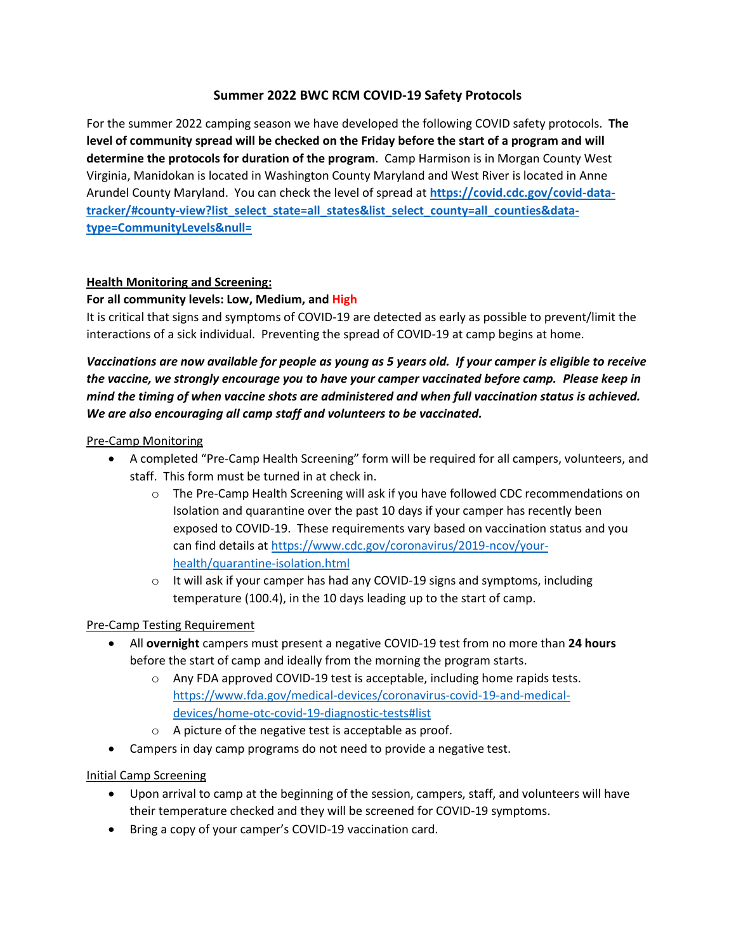## **Summer 2022 BWC RCM COVID-19 Safety Protocols**

For the summer 2022 camping season we have developed the following COVID safety protocols. **The level of community spread will be checked on the Friday before the start of a program and will determine the protocols for duration of the program**. Camp Harmison is in Morgan County West Virginia, Manidokan is located in Washington County Maryland and West River is located in Anne Arundel County Maryland. You can check the level of spread at **[https://covid.cdc.gov/covid-data](https://covid.cdc.gov/covid-data-tracker/#county-view?list_select_state=all_states&list_select_county=all_counties&data-type=CommunityLevels&null=)[tracker/#county-view?list\\_select\\_state=all\\_states&list\\_select\\_county=all\\_counties&data](https://covid.cdc.gov/covid-data-tracker/#county-view?list_select_state=all_states&list_select_county=all_counties&data-type=CommunityLevels&null=)[type=CommunityLevels&null=](https://covid.cdc.gov/covid-data-tracker/#county-view?list_select_state=all_states&list_select_county=all_counties&data-type=CommunityLevels&null=)**

### **Health Monitoring and Screening:**

### **For all community levels: Low, Medium, and High**

It is critical that signs and symptoms of COVID-19 are detected as early as possible to prevent/limit the interactions of a sick individual. Preventing the spread of COVID-19 at camp begins at home.

# *Vaccinations are now available for people as young as 5 years old. If your camper is eligible to receive the vaccine, we strongly encourage you to have your camper vaccinated before camp. Please keep in mind the timing of when vaccine shots are administered and when full vaccination status is achieved. We are also encouraging all camp staff and volunteers to be vaccinated.*

#### Pre-Camp Monitoring

- A completed "Pre-Camp Health Screening" form will be required for all campers, volunteers, and staff. This form must be turned in at check in.
	- o The Pre-Camp Health Screening will ask if you have followed CDC recommendations on Isolation and quarantine over the past 10 days if your camper has recently been exposed to COVID-19. These requirements vary based on vaccination status and you can find details a[t https://www.cdc.gov/coronavirus/2019-ncov/your](https://www.cdc.gov/coronavirus/2019-ncov/your-health/quarantine-isolation.html)[health/quarantine-isolation.html](https://www.cdc.gov/coronavirus/2019-ncov/your-health/quarantine-isolation.html)
	- o It will ask if your camper has had any COVID-19 signs and symptoms, including temperature (100.4), in the 10 days leading up to the start of camp.

### Pre-Camp Testing Requirement

- All **overnight** campers must present a negative COVID-19 test from no more than **24 hours** before the start of camp and ideally from the morning the program starts.
	- $\circ$  Any FDA approved COVID-19 test is acceptable, including home rapids tests. [https://www.fda.gov/medical-devices/coronavirus-covid-19-and-medical](https://www.fda.gov/medical-devices/coronavirus-covid-19-and-medical-devices/home-otc-covid-19-diagnostic-tests#list)[devices/home-otc-covid-19-diagnostic-tests#list](https://www.fda.gov/medical-devices/coronavirus-covid-19-and-medical-devices/home-otc-covid-19-diagnostic-tests#list)
	- o A picture of the negative test is acceptable as proof.
- Campers in day camp programs do not need to provide a negative test.

### Initial Camp Screening

- Upon arrival to camp at the beginning of the session, campers, staff, and volunteers will have their temperature checked and they will be screened for COVID-19 symptoms.
- Bring a copy of your camper's COVID-19 vaccination card.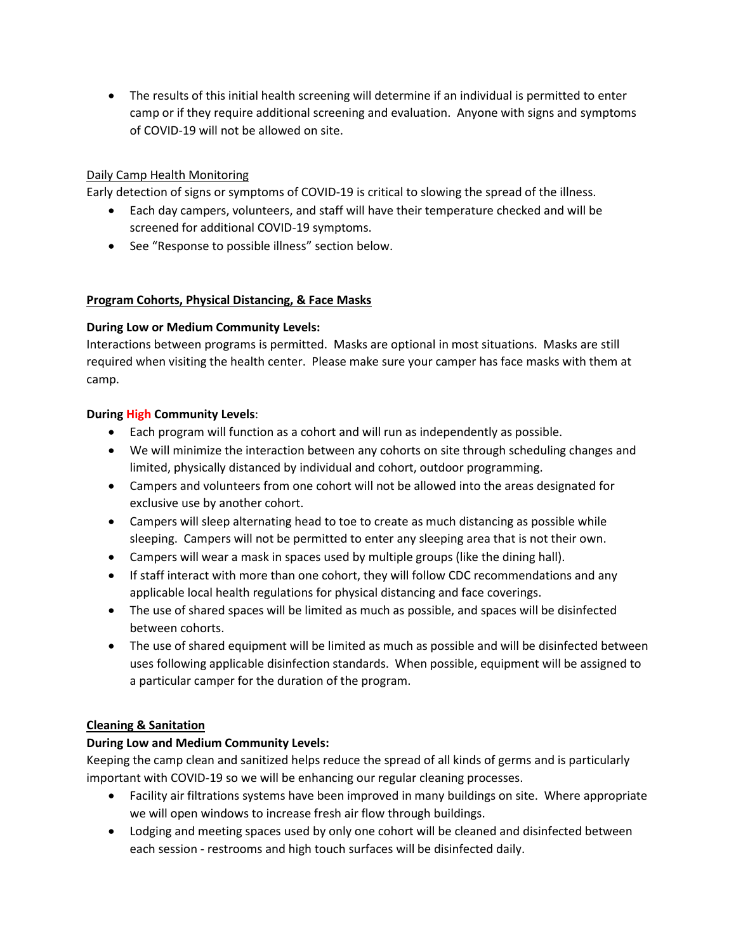• The results of this initial health screening will determine if an individual is permitted to enter camp or if they require additional screening and evaluation. Anyone with signs and symptoms of COVID-19 will not be allowed on site.

# Daily Camp Health Monitoring

Early detection of signs or symptoms of COVID-19 is critical to slowing the spread of the illness.

- Each day campers, volunteers, and staff will have their temperature checked and will be screened for additional COVID-19 symptoms.
- See "Response to possible illness" section below.

## **Program Cohorts, Physical Distancing, & Face Masks**

## **During Low or Medium Community Levels:**

Interactions between programs is permitted. Masks are optional in most situations. Masks are still required when visiting the health center. Please make sure your camper has face masks with them at camp.

## **During High Community Levels**:

- Each program will function as a cohort and will run as independently as possible.
- We will minimize the interaction between any cohorts on site through scheduling changes and limited, physically distanced by individual and cohort, outdoor programming.
- Campers and volunteers from one cohort will not be allowed into the areas designated for exclusive use by another cohort.
- Campers will sleep alternating head to toe to create as much distancing as possible while sleeping. Campers will not be permitted to enter any sleeping area that is not their own.
- Campers will wear a mask in spaces used by multiple groups (like the dining hall).
- If staff interact with more than one cohort, they will follow CDC recommendations and any applicable local health regulations for physical distancing and face coverings.
- The use of shared spaces will be limited as much as possible, and spaces will be disinfected between cohorts.
- The use of shared equipment will be limited as much as possible and will be disinfected between uses following applicable disinfection standards. When possible, equipment will be assigned to a particular camper for the duration of the program.

## **Cleaning & Sanitation**

## **During Low and Medium Community Levels:**

Keeping the camp clean and sanitized helps reduce the spread of all kinds of germs and is particularly important with COVID-19 so we will be enhancing our regular cleaning processes.

- Facility air filtrations systems have been improved in many buildings on site. Where appropriate we will open windows to increase fresh air flow through buildings.
- Lodging and meeting spaces used by only one cohort will be cleaned and disinfected between each session - restrooms and high touch surfaces will be disinfected daily.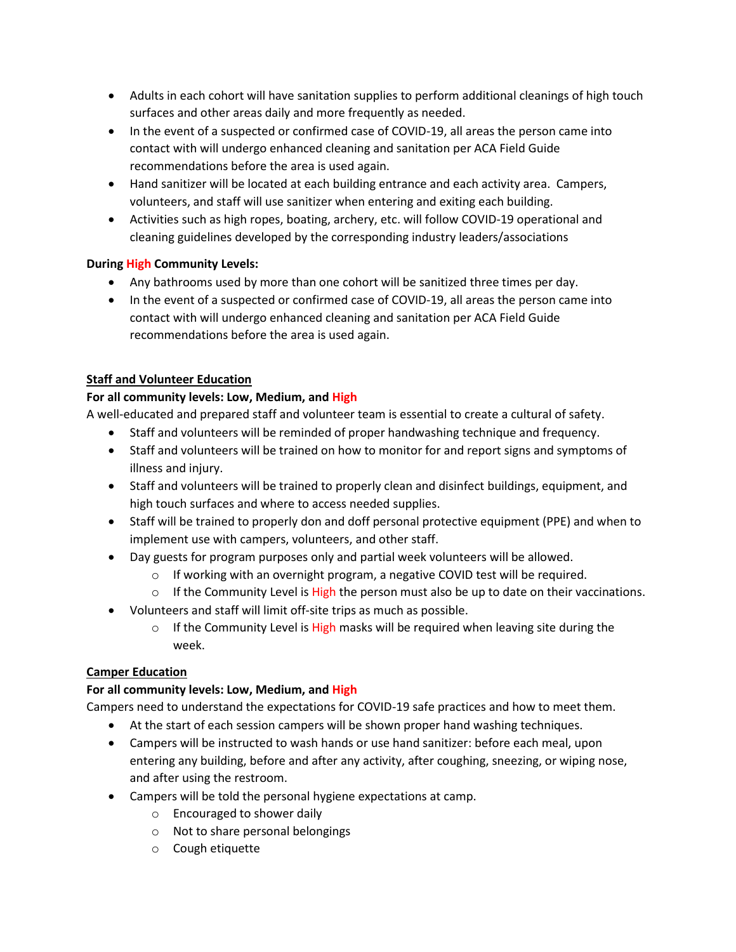- Adults in each cohort will have sanitation supplies to perform additional cleanings of high touch surfaces and other areas daily and more frequently as needed.
- In the event of a suspected or confirmed case of COVID-19, all areas the person came into contact with will undergo enhanced cleaning and sanitation per ACA Field Guide recommendations before the area is used again.
- Hand sanitizer will be located at each building entrance and each activity area. Campers, volunteers, and staff will use sanitizer when entering and exiting each building.
- Activities such as high ropes, boating, archery, etc. will follow COVID-19 operational and cleaning guidelines developed by the corresponding industry leaders/associations

## **During High Community Levels:**

- Any bathrooms used by more than one cohort will be sanitized three times per day.
- In the event of a suspected or confirmed case of COVID-19, all areas the person came into contact with will undergo enhanced cleaning and sanitation per ACA Field Guide recommendations before the area is used again.

## **Staff and Volunteer Education**

## **For all community levels: Low, Medium, and High**

A well-educated and prepared staff and volunteer team is essential to create a cultural of safety.

- Staff and volunteers will be reminded of proper handwashing technique and frequency.
- Staff and volunteers will be trained on how to monitor for and report signs and symptoms of illness and injury.
- Staff and volunteers will be trained to properly clean and disinfect buildings, equipment, and high touch surfaces and where to access needed supplies.
- Staff will be trained to properly don and doff personal protective equipment (PPE) and when to implement use with campers, volunteers, and other staff.
- Day guests for program purposes only and partial week volunteers will be allowed.
	- o If working with an overnight program, a negative COVID test will be required.
	- $\circ$  If the Community Level is High the person must also be up to date on their vaccinations.
- Volunteers and staff will limit off-site trips as much as possible.
	- $\circ$  If the Community Level is High masks will be required when leaving site during the week.

## **Camper Education**

### **For all community levels: Low, Medium, and High**

Campers need to understand the expectations for COVID-19 safe practices and how to meet them.

- At the start of each session campers will be shown proper hand washing techniques.
- Campers will be instructed to wash hands or use hand sanitizer: before each meal, upon entering any building, before and after any activity, after coughing, sneezing, or wiping nose, and after using the restroom.
- Campers will be told the personal hygiene expectations at camp.
	- o Encouraged to shower daily
	- o Not to share personal belongings
	- o Cough etiquette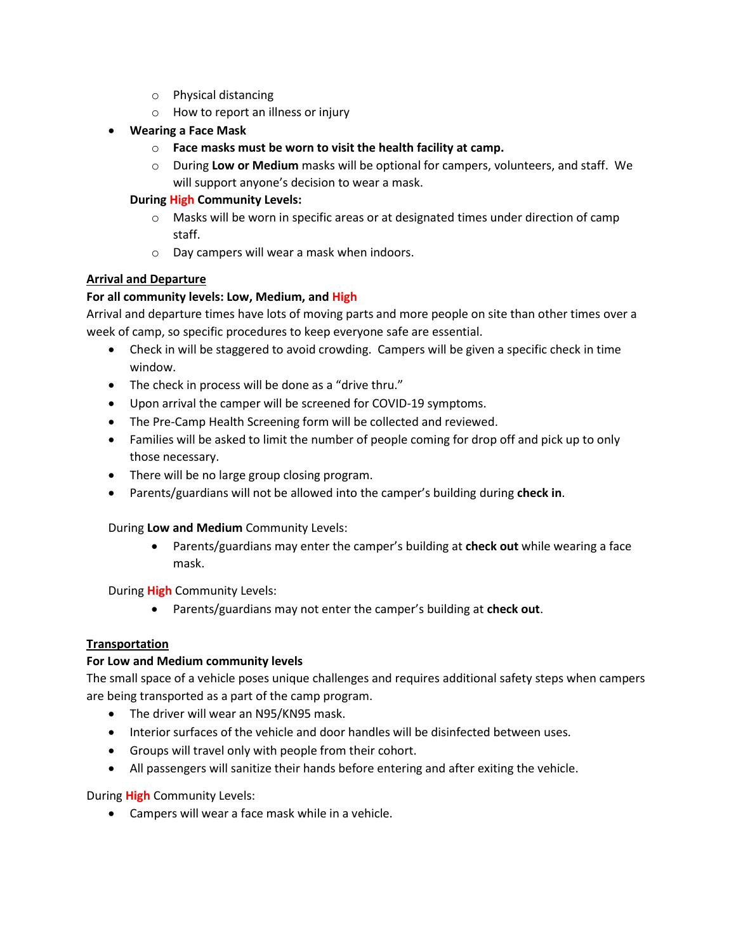- o Physical distancing
- o How to report an illness or injury
- **Wearing a Face Mask**
	- o **Face masks must be worn to visit the health facility at camp.**
	- o During **Low or Medium** masks will be optional for campers, volunteers, and staff. We will support anyone's decision to wear a mask.

### **During High Community Levels:**

- $\circ$  Masks will be worn in specific areas or at designated times under direction of camp staff.
- o Day campers will wear a mask when indoors.

## **Arrival and Departure**

## **For all community levels: Low, Medium, and High**

Arrival and departure times have lots of moving parts and more people on site than other times over a week of camp, so specific procedures to keep everyone safe are essential.

- Check in will be staggered to avoid crowding. Campers will be given a specific check in time window.
- The check in process will be done as a "drive thru."
- Upon arrival the camper will be screened for COVID-19 symptoms.
- The Pre-Camp Health Screening form will be collected and reviewed.
- Families will be asked to limit the number of people coming for drop off and pick up to only those necessary.
- There will be no large group closing program.
- Parents/guardians will not be allowed into the camper's building during **check in**.

### During **Low and Medium** Community Levels:

• Parents/guardians may enter the camper's building at **check out** while wearing a face mask.

### During **High** Community Levels:

• Parents/guardians may not enter the camper's building at **check out**.

## **Transportation**

### **For Low and Medium community levels**

The small space of a vehicle poses unique challenges and requires additional safety steps when campers are being transported as a part of the camp program.

- The driver will wear an N95/KN95 mask.
- Interior surfaces of the vehicle and door handles will be disinfected between uses.
- Groups will travel only with people from their cohort.
- All passengers will sanitize their hands before entering and after exiting the vehicle.

### During **High** Community Levels:

• Campers will wear a face mask while in a vehicle.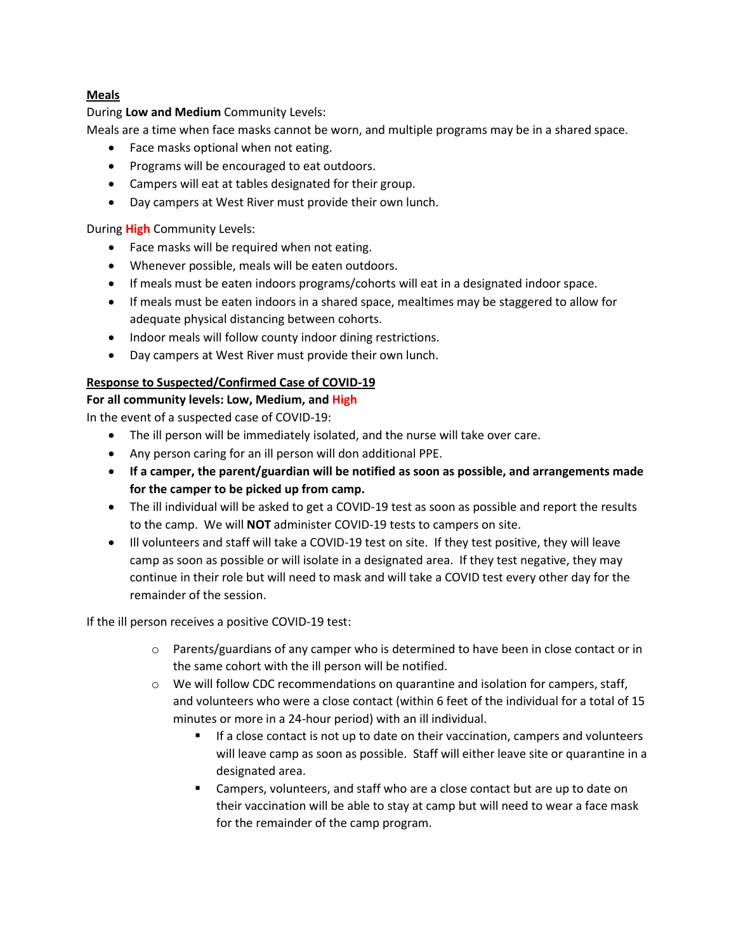## **Meals**

During **Low and Medium** Community Levels:

Meals are a time when face masks cannot be worn, and multiple programs may be in a shared space.

- Face masks optional when not eating.
- Programs will be encouraged to eat outdoors.
- Campers will eat at tables designated for their group.
- Day campers at West River must provide their own lunch.

During **High** Community Levels:

- Face masks will be required when not eating.
- Whenever possible, meals will be eaten outdoors.
- If meals must be eaten indoors programs/cohorts will eat in a designated indoor space.
- If meals must be eaten indoors in a shared space, mealtimes may be staggered to allow for adequate physical distancing between cohorts.
- Indoor meals will follow county indoor dining restrictions.
- Day campers at West River must provide their own lunch.

### **Response to Suspected/Confirmed Case of COVID-19**

### **For all community levels: Low, Medium, and High**

In the event of a suspected case of COVID-19:

- The ill person will be immediately isolated, and the nurse will take over care.
- Any person caring for an ill person will don additional PPE.
- **If a camper, the parent/guardian will be notified as soon as possible, and arrangements made for the camper to be picked up from camp.**
- The ill individual will be asked to get a COVID-19 test as soon as possible and report the results to the camp. We will **NOT** administer COVID-19 tests to campers on site.
- Ill volunteers and staff will take a COVID-19 test on site. If they test positive, they will leave camp as soon as possible or will isolate in a designated area. If they test negative, they may continue in their role but will need to mask and will take a COVID test every other day for the remainder of the session.

If the ill person receives a positive COVID-19 test:

- $\circ$  Parents/guardians of any camper who is determined to have been in close contact or in the same cohort with the ill person will be notified.
- $\circ$  We will follow CDC recommendations on quarantine and isolation for campers, staff, and volunteers who were a close contact (within 6 feet of the individual for a total of 15 minutes or more in a 24-hour period) with an ill individual.
	- If a close contact is not up to date on their vaccination, campers and volunteers will leave camp as soon as possible. Staff will either leave site or quarantine in a designated area.
	- Campers, volunteers, and staff who are a close contact but are up to date on their vaccination will be able to stay at camp but will need to wear a face mask for the remainder of the camp program.